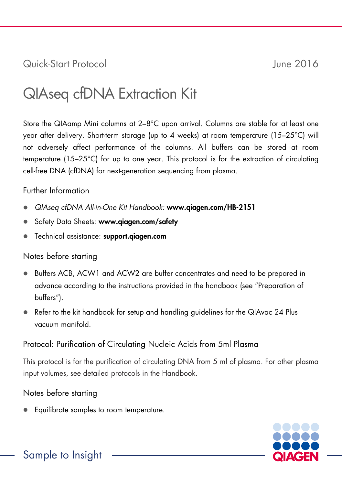Quick-Start Protocol June 2016

# QIAseq cfDNA Extraction Kit

Store the QIAamp Mini columns at 2–8°C upon arrival. Columns are stable for at least one year after delivery. Short-term storage (up to 4 weeks) at room temperature (15–25°C) will not adversely affect performance of the columns. All buffers can be stored at room temperature (15–25°C) for up to one year. This protocol is for the extraction of circulating cell-free DNA (cfDNA) for next-generation sequencing from plasma.

#### Further Information

- *QIAseq cfDNA All-in-One Kit Handbook:* www.qiagen.com/HB-2151
- Safety Data Sheets: www.qiagen.com/safety
- **•** Technical assistance: support.giagen.com

## Notes before starting

- Buffers ACB, ACW1 and ACW2 are buffer concentrates and need to be prepared in advance according to the instructions provided in the handbook (see "Preparation of buffers").
- Refer to the kit handbook for setup and handling guidelines for the QIAvac 24 Plus vacuum manifold.

## Protocol: Purification of Circulating Nucleic Acids from 5ml Plasma

This protocol is for the purification of circulating DNA from 5 ml of plasma. For other plasma input volumes, see detailed protocols in the Handbook.

## Notes before starting

**Equilibrate samples to room temperature.** 

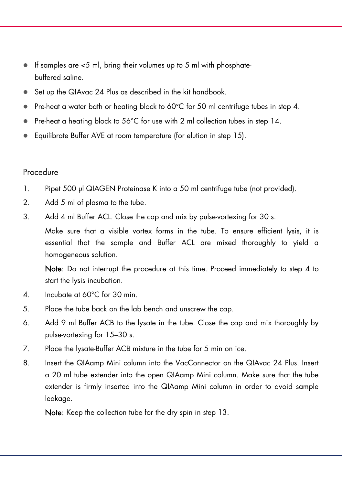- If samples are  $<$  5 ml, bring their volumes up to 5 ml with phosphatebuffered saline.
- Set up the QIAvac 24 Plus as described in the kit handbook.
- $\bullet$  Pre-heat a water bath or heating block to 60°C for 50 ml centrifuge tubes in step 4.
- Pre-heat a heating block to 56°C for use with 2 ml collection tubes in step 14.
- Equilibrate Buffer AVE at room temperature (for elution in step 15).

#### Procedure

- 1. Pipet 500 µl QIAGEN Proteinase K into a 50 ml centrifuge tube (not provided).
- 2. Add 5 ml of plasma to the tube.
- 3. Add 4 ml Buffer ACL. Close the cap and mix by pulse-vortexing for 30 s.

Make sure that a visible vortex forms in the tube. To ensure efficient lysis, it is essential that the sample and Buffer ACL are mixed thoroughly to yield a homogeneous solution.

Note: Do not interrupt the procedure at this time. Proceed immediately to step 4 to start the lysis incubation.

- 4. Incubate at 60°C for 30 min.
- 5. Place the tube back on the lab bench and unscrew the cap.
- 6. Add 9 ml Buffer ACB to the lysate in the tube. Close the cap and mix thoroughly by pulse-vortexing for 15–30 s.
- 7. Place the lysate-Buffer ACB mixture in the tube for 5 min on ice.
- 8. Insert the QIAamp Mini column into the VacConnector on the QIAvac 24 Plus. Insert a 20 ml tube extender into the open QIAamp Mini column. Make sure that the tube extender is firmly inserted into the QIAamp Mini column in order to avoid sample leakage.

Note: Keep the collection tube for the dry spin in step 13.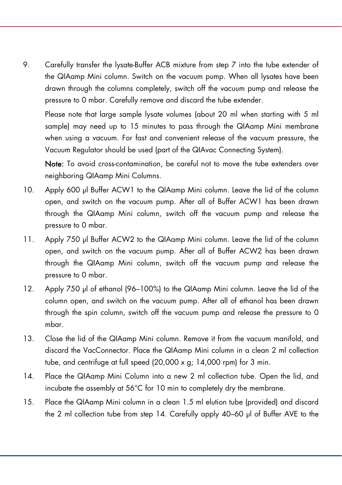9. Carefully transfer the lysate-Buffer ACB mixture from step 7 into the tube extender of the QIAamp Mini column. Switch on the vacuum pump. When all lysates have been drawn through the columns completely, switch off the vacuum pump and release the pressure to 0 mbar. Carefully remove and discard the tube extender.

Please note that large sample lysate volumes (about 20 ml when starting with 5 ml sample) may need up to 15 minutes to pass through the QIAamp Mini membrane when using a vacuum. For fast and convenient release of the vacuum pressure, the Vacuum Regulator should be used (part of the QIAvac Connecting System).

Note: To avoid cross-contamination, be careful not to move the tube extenders over neighboring QIAamp Mini Columns.

- 10. Apply 600 µl Buffer ACW1 to the QIAamp Mini column. Leave the lid of the column open, and switch on the vacuum pump. After all of Buffer ACW1 has been drawn through the QIAamp Mini column, switch off the vacuum pump and release the pressure to 0 mbar.
- 11. Apply 750 µl Buffer ACW2 to the QIAamp Mini column. Leave the lid of the column open, and switch on the vacuum pump. After all of Buffer ACW2 has been drawn through the QIAamp Mini column, switch off the vacuum pump and release the pressure to 0 mbar.
- 12. Apply 750 µl of ethanol (96–100%) to the QIAamp Mini column. Leave the lid of the column open, and switch on the vacuum pump. After all of ethanol has been drawn through the spin column, switch off the vacuum pump and release the pressure to 0 mbar.
- 13. Close the lid of the QIAamp Mini column. Remove it from the vacuum manifold, and discard the VacConnector. Place the QIAamp Mini column in a clean 2 ml collection tube, and centrifuge at full speed (20,000 x g; 14,000 rpm) for 3 min.
- 14. Place the QIAamp Mini Column into a new 2 ml collection tube. Open the lid, and incubate the assembly at 56°C for 10 min to completely dry the membrane.
- 15. Place the QIAamp Mini column in a clean 1.5 ml elution tube (provided) and discard the 2 ml collection tube from step 14. Carefully apply 40–60 µl of Buffer AVE to the